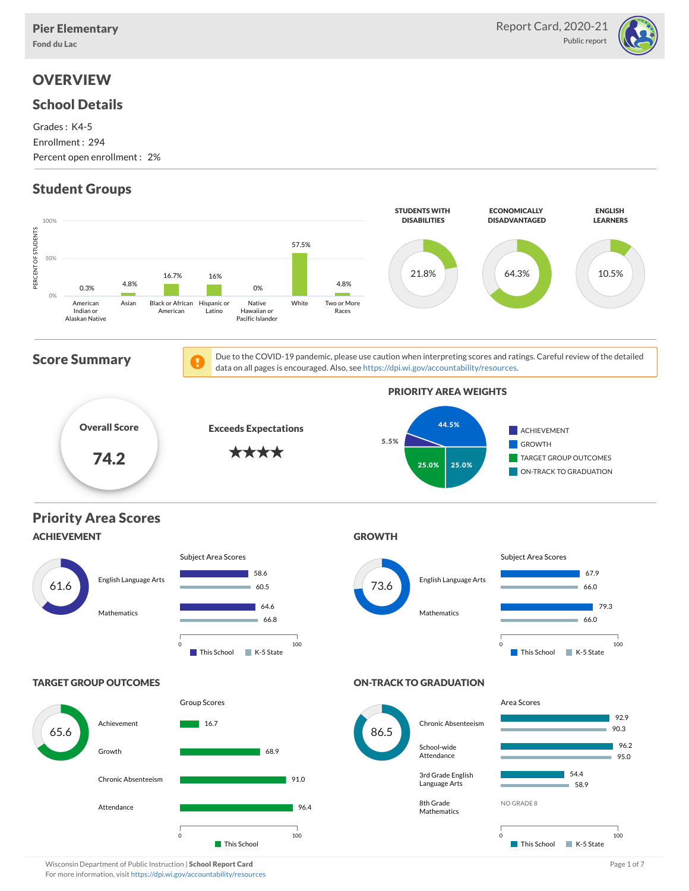

# **OVERVIEW**

### School Details

Grades : K4-5 Enrollment : 294 Percent open enrollment : 2%

## Student Groups

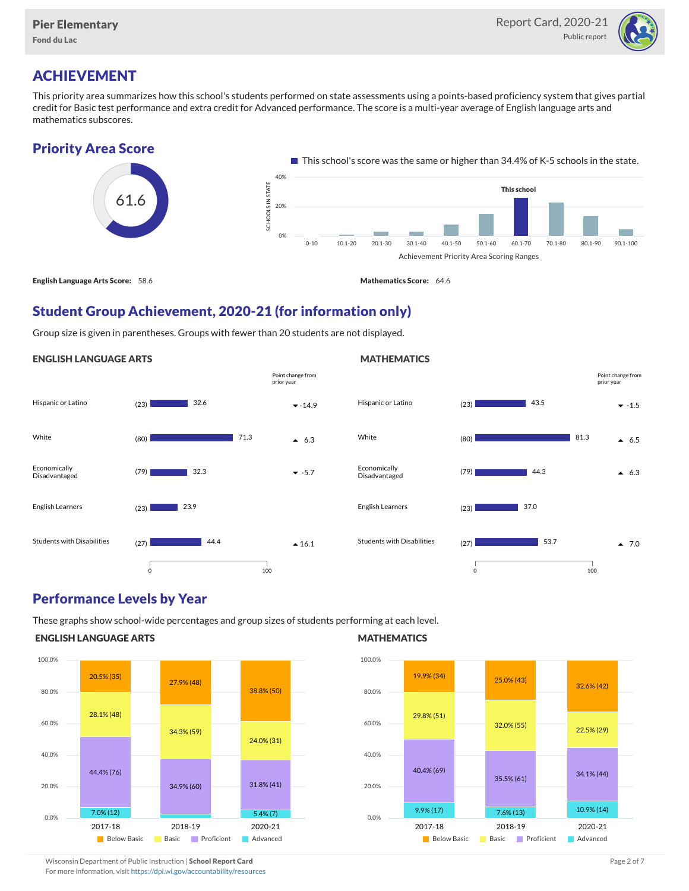

# ACHIEVEMENT

This priority area summarizes how this school's students performed on state assessments using a points-based proficiency system that gives partial credit for Basic test performance and extra credit for Advanced performance. The score is a multi-year average of English language arts and mathematics subscores.

### Priority Area Score



### Student Group Achievement, 2020-21 (for information only)

Group size is given in parentheses. Groups with fewer than 20 students are not displayed.

#### ENGLISH LANGUAGE ARTS





### Performance Levels by Year

These graphs show school-wide percentages and group sizes of students performing at each level.

### ENGLISH LANGUAGE ARTS



### **MATHEMATICS**



Wisconsin Department of Public Instruction | School Report Card Page 2 of 7 and 2008 and 2009 and 2 of 7 and 2 of 7 For more information, visit <https://dpi.wi.gov/accountability/resources>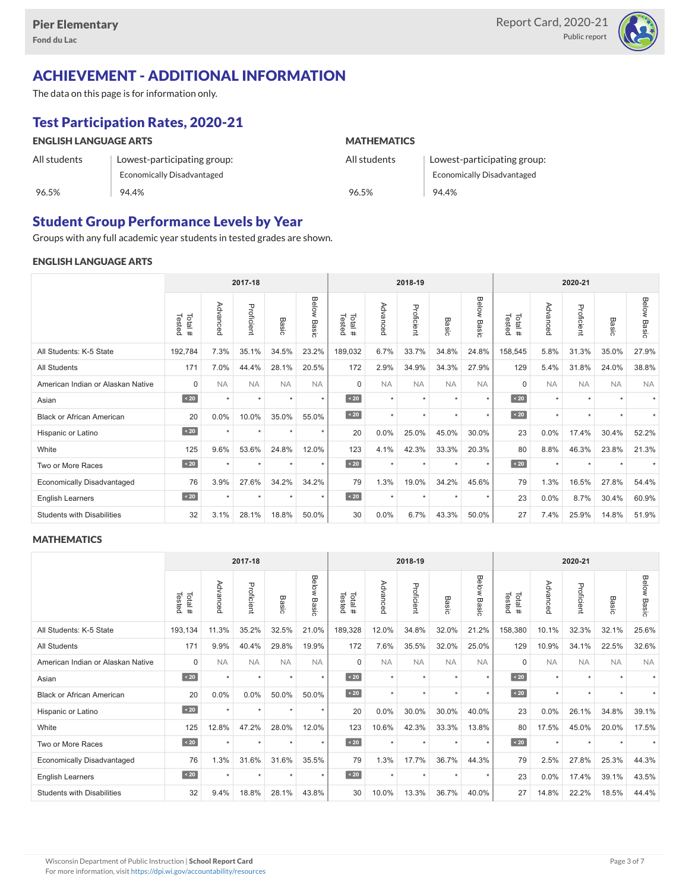

## ACHIEVEMENT - ADDITIONAL INFORMATION

The data on this page is for information only.

## Test Participation Rates, 2020-21

| <b>ENGLISH LANGUAGE ARTS</b> |                             | <b>MATHEMATICS</b> |                                   |  |  |  |  |
|------------------------------|-----------------------------|--------------------|-----------------------------------|--|--|--|--|
| All students                 | Lowest-participating group: | All students       | Lowest-participating group:       |  |  |  |  |
|                              | Economically Disadvantaged  |                    | <b>Economically Disadvantaged</b> |  |  |  |  |
| 96.5%                        | 94.4%                       | 96.5%              | 94.4%                             |  |  |  |  |

### Student Group Performance Levels by Year

Groups with any full academic year students in tested grades are shown.

### ENGLISH LANGUAGE ARTS

|                                   | 2017-18          |           |            |           |                    |                  | 2018-19   |            |                  | 2020-21        |                  |           |            |                      |                    |
|-----------------------------------|------------------|-----------|------------|-----------|--------------------|------------------|-----------|------------|------------------|----------------|------------------|-----------|------------|----------------------|--------------------|
|                                   | Tested<br>Total# | Advanced  | Proficient | Basic     | <b>Below Basic</b> | Tested<br>Total# | Advanced  | Proficient | Basi<br>$\Omega$ | Below<br>Basic | Tested<br>Total# | Advanced  | Proficient | Basic                | <b>Below Basic</b> |
| All Students: K-5 State           | 192,784          | 7.3%      | 35.1%      | 34.5%     | 23.2%              | 189,032          | 6.7%      | 33.7%      | 34.8%            | 24.8%          | 158,545          | 5.8%      | 31.3%      | 35.0%                | 27.9%              |
| <b>All Students</b>               | 171              | 7.0%      | 44.4%      | 28.1%     | 20.5%              | 172              | 2.9%      | 34.9%      | 34.3%            | 27.9%          | 129              | 5.4%      | 31.8%      | 24.0%                | 38.8%              |
| American Indian or Alaskan Native | $\mathbf 0$      | <b>NA</b> | <b>NA</b>  | <b>NA</b> | <b>NA</b>          | $\Omega$         | <b>NA</b> | <b>NA</b>  | <b>NA</b>        | <b>NA</b>      | $\Omega$         | <b>NA</b> | <b>NA</b>  | <b>NA</b>            | <b>NA</b>          |
| Asian                             | $\sim 20$        | $\star$   | $\star$    | ٠         | $\star$            | $\sim 20$        | $\star$   | $\star$    | $\star$          | $\star$        | $\sim 20$        | $\star$   | $\star$    | $\ddot{}$            |                    |
| <b>Black or African American</b>  | 20               | 0.0%      | 10.0%      | 35.0%     | 55.0%              | $\angle 20$      | $\star$   | $\star$    | $\star$          | $\star$        | $\sim 20$        | $\star$   | $\star$    | $\ddot{\phantom{1}}$ |                    |
| Hispanic or Latino                | $\angle 20$      |           | $\star$    | ٠         | $\star$            | 20               | 0.0%      | 25.0%      | 45.0%            | 30.0%          | 23               | 0.0%      | 17.4%      | 30.4%                | 52.2%              |
| White                             | 125              | 9.6%      | 53.6%      | 24.8%     | 12.0%              | 123              | 4.1%      | 42.3%      | 33.3%            | 20.3%          | 80               | 8.8%      | 46.3%      | 23.8%                | 21.3%              |
| Two or More Races                 | $\sim 20$        |           | ٠          | ٠         | $\star$            | $\sim 20$        | $\star$   | $\star$    | $\ddot{}$        | $\star$        | $\sim 20$        | $\star$   | ٠          |                      |                    |
| <b>Economically Disadvantaged</b> | 76               | 3.9%      | 27.6%      | 34.2%     | 34.2%              | 79               | 1.3%      | 19.0%      | 34.2%            | 45.6%          | 79               | 1.3%      | 16.5%      | 27.8%                | 54.4%              |
| <b>English Learners</b>           | $\angle 20$      | $\star$   | $\star$    | ٠         | $\star$            | $\sim 20$        | $\star$   | $\star$    | $\star$          | $\star$        | 23               | 0.0%      | 8.7%       | 30.4%                | 60.9%              |
| <b>Students with Disabilities</b> | 32               | 3.1%      | 28.1%      | 18.8%     | 50.0%              | 30               | 0.0%      | 6.7%       | 43.3%            | 50.0%          | 27               | 7.4%      | 25.9%      | 14.8%                | 51.9%              |

### **MATHEMATICS**

|                                   | 2017-18           |           |            |           |                |                  |           | 2018-19    |                      |                |                  | 2020-21   |            |           |                    |
|-----------------------------------|-------------------|-----------|------------|-----------|----------------|------------------|-----------|------------|----------------------|----------------|------------------|-----------|------------|-----------|--------------------|
|                                   | Tested<br>Total # | Advanced  | Proficient | Basic     | Below<br>Basic | Tested<br>Total# | Advanced  | Proficient | Basic                | Below<br>Basic | Tested<br>Total# | Advanced  | Proficient | Basic     | <b>Below Basic</b> |
| All Students: K-5 State           | 193,134           | 11.3%     | 35.2%      | 32.5%     | 21.0%          | 189,328          | 12.0%     | 34.8%      | 32.0%                | 21.2%          | 158,380          | 10.1%     | 32.3%      | 32.1%     | 25.6%              |
| <b>All Students</b>               | 171               | 9.9%      | 40.4%      | 29.8%     | 19.9%          | 172              | 7.6%      | 35.5%      | 32.0%                | 25.0%          | 129              | 10.9%     | 34.1%      | 22.5%     | 32.6%              |
| American Indian or Alaskan Native | $\mathbf 0$       | <b>NA</b> | <b>NA</b>  | <b>NA</b> | <b>NA</b>      | $\Omega$         | <b>NA</b> | <b>NA</b>  | <b>NA</b>            | <b>NA</b>      | $\Omega$         | <b>NA</b> | <b>NA</b>  | <b>NA</b> | <b>NA</b>          |
| Asian                             | $\sim 20$         | $\star$   | $\star$    | $\star$   | $\star$        | $\sim 20$        | $\star$   | $\star$    | $\star$              | $\star$        | $\vert$ < 20     | $\star$   | $\star$    |           |                    |
| <b>Black or African American</b>  | 20                | 0.0%      | 0.0%       | 50.0%     | 50.0%          | $\sim 20$        | $\star$   | $\star$    |                      | $\star$        | $\angle 20$      | $\star$   | $\star$    | $\ddot{}$ |                    |
| Hispanic or Latino                | $\angle 20$       | $\star$   | $\star$    | $\star$   | $\star$        | 20               | 0.0%      | 30.0%      | 30.0%                | 40.0%          | 23               | 0.0%      | 26.1%      | 34.8%     | 39.1%              |
| White                             | 125               | 12.8%     | 47.2%      | 28.0%     | 12.0%          | 123              | 10.6%     | 42.3%      | 33.3%                | 13.8%          | 80               | 17.5%     | 45.0%      | 20.0%     | 17.5%              |
| Two or More Races                 | $\sim 20$         | $\ddot{}$ | $\star$    | $\star$   | $\star$        | $\sim 20$        | $\star$   | $\star$    | $\ddot{\phantom{1}}$ | $\star$        | $\angle 20$      | $\star$   | $\star$    |           |                    |
| <b>Economically Disadvantaged</b> | 76                | 1.3%      | 31.6%      | 31.6%     | 35.5%          | 79               | 1.3%      | 17.7%      | 36.7%                | 44.3%          | 79               | 2.5%      | 27.8%      | 25.3%     | 44.3%              |
| English Learners                  | $\leq 20$         | $\star$   | $\star$    | $\star$   | $\star$        | $\angle 20$      | $\star$   | $\star$    | $\star$              | $\star$        | 23               | 0.0%      | 17.4%      | 39.1%     | 43.5%              |
| <b>Students with Disabilities</b> | 32                | 9.4%      | 18.8%      | 28.1%     | 43.8%          | 30               | 10.0%     | 13.3%      | 36.7%                | 40.0%          | 27               | 14.8%     | 22.2%      | 18.5%     | 44.4%              |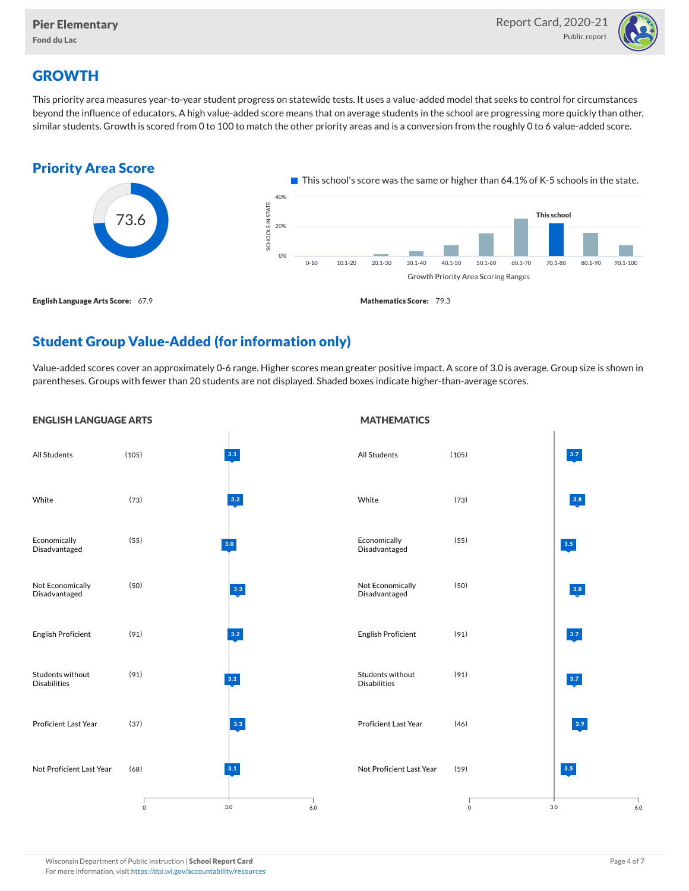

## **GROWTH**

This priority area measures year-to-year student progress on statewide tests. It uses a value-added model that seeks to control for circumstances beyond the influence of educators. A high value-added score means that on average students in the school are progressing more quickly than other, similar students. Growth is scored from 0 to 100 to match the other priority areas and is a conversion from the roughly 0 to 6 value-added score.



## Student Group Value-Added (for information only)

Value-added scores cover an approximately 0-6 range. Higher scores mean greater positive impact. A score of 3.0 is average. Group size is shown in parentheses. Groups with fewer than 20 students are not displayed. Shaded boxes indicate higher-than-average scores.

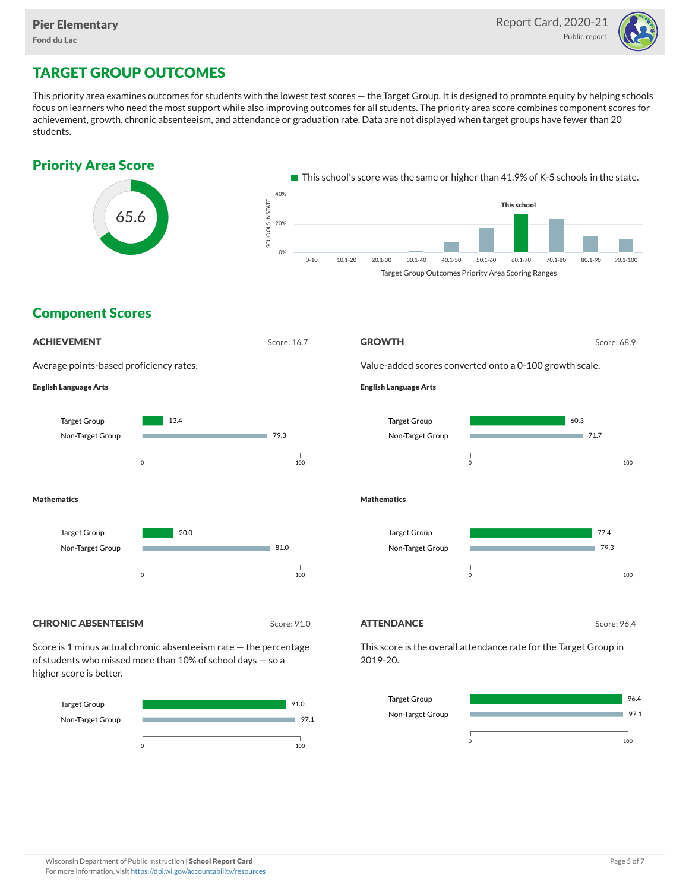

# TARGET GROUP OUTCOMES

This priority area examines outcomes for students with the lowest test scores — the Target Group. It is designed to promote equity by helping schools focus on learners who need the most support while also improving outcomes for all students. The priority area score combines component scores for achievement, growth, chronic absenteeism, and attendance or graduation rate. Data are not displayed when target groups have fewer than 20 students.



Target Group Non-Target Group



97.1

m.

0 100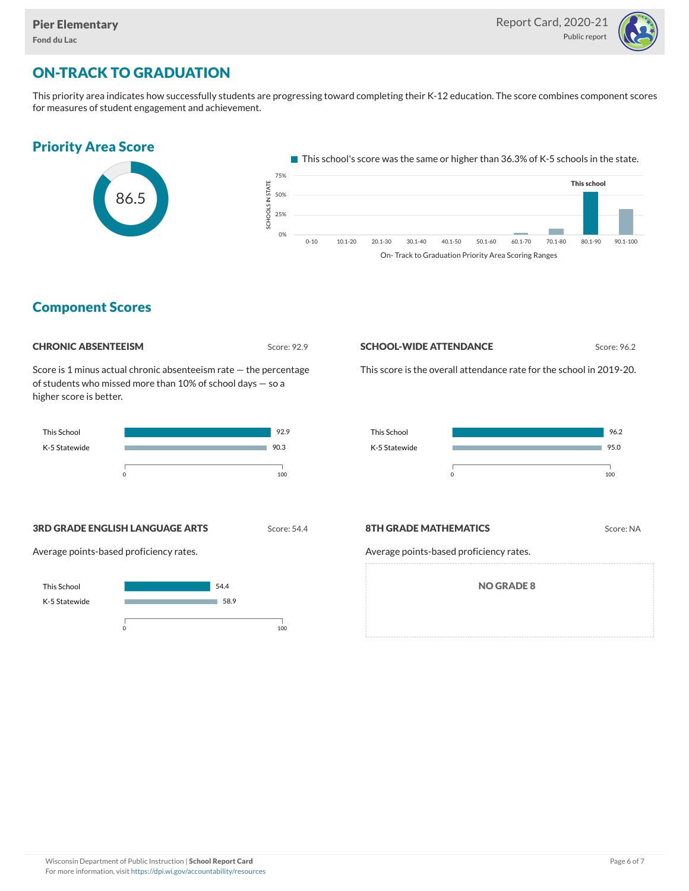

## ON-TRACK TO GRADUATION

This priority area indicates how successfully students are progressing toward completing their K-12 education. The score combines component scores for measures of student engagement and achievement.



### Component Scores

| <b>CHRONIC ABSENTEEISM</b> |
|----------------------------|
|                            |

Score: 92.9

Score is 1 minus actual chronic absenteeism rate — the percentage of students who missed more than 10% of school days — so a higher score is better.



#### **SCHOOL-WIDE ATTENDANCE** Score: 96.2

This score is the overall attendance rate for the school in 2019-20.



**3RD GRADE ENGLISH LANGUAGE ARTS** Score: 54.4

Average points-based proficiency rates.



#### **8TH GRADE MATHEMATICS** Score: NA

Average points-based proficiency rates.

NO GRADE 8